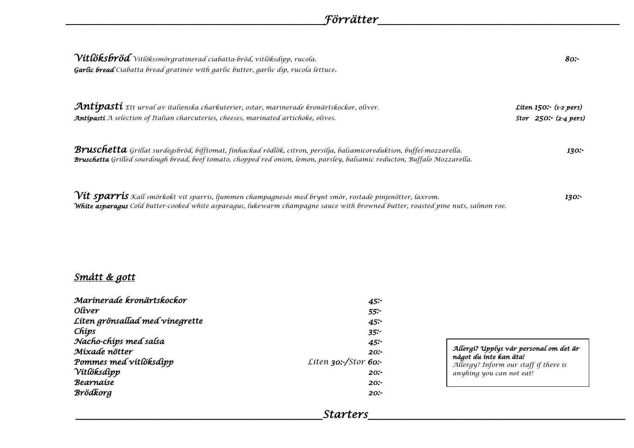| $\gamma$ ítlöksb $r$ öd $\gamma$ ítlökssmörgratínerad cíabatta-bröd, vítlöksdípp, rucola.<br>Garlic bread Ciabatta bread gratinée with garlic butter, garlic dip, rucola lettuce.                                                                    | 80:                                                         |
|------------------------------------------------------------------------------------------------------------------------------------------------------------------------------------------------------------------------------------------------------|-------------------------------------------------------------|
| Antipasti Ett urval av italienska charkuterier, ostar, marinerade kronärtskockor, oliver.<br>Antipasti A selection of Italian charcuteries, cheeses, marinated artichoke, olives.                                                                    | Liten $150$ :- (1-2 pers)<br>Stor $250: (2-4 \text{ pers})$ |
| Bruschetta Grillat surdegsbröd, bifftomat, finhackad rödlök, citron, persilja, balsamicoreduktion, buffel-mozzarella.<br>Bruschetta Grilled sourdough bread, beef tomato, chopped red onion, lemon, parsley, balsamic reducton, Buffalo Mozzarella.  | 130:-                                                       |
| $\it V\!it sparris$ Kall smörkokt vit sparris, ljummen champagnesås med brynt smör, rostade pinjenötter, laxrom.<br>White asparagus Cold butter-cooked white asparagus, lukewarm champagne sauce with browned butter, roasted pine nuts, salmon roe. | 130:-                                                       |

### *Smått & gott*

| Marínerade kronärtskockor       | 45:                  |
|---------------------------------|----------------------|
| Olíver                          | 55:                  |
| Liten grönsallad med vinegrette | 45:                  |
| Chíps                           | 35:                  |
| Nacho-chips med salsa           | 45:                  |
| Míxade nötter                   | 20:                  |
| Pommes med vitlöksdipp          | Liten 30:-/Stor 60:- |
| Vítľöksdípp                     | 20:                  |
| Bearnaíse                       | 20:                  |
| Brödkorg                        | 20:                  |

#### *Allergi? Upplys vår personal om det är något du inte kan äta!*

*Allergy? Inform our staff if there is anyhing you can not eat!*

\_\_\_\_\_\_\_\_\_\_\_\_\_\_\_\_\_\_\_\_\_\_\_\_\_\_\_\_\_\_\_\_\_\_\_\_\_\_\_\_\_\_\_\_\_\_\_*Starters*\_\_\_\_\_\_\_\_\_\_\_\_\_\_\_\_\_\_\_\_\_\_\_\_\_\_\_\_\_\_\_\_\_\_\_\_\_\_\_\_\_\_\_\_\_\_\_\_\_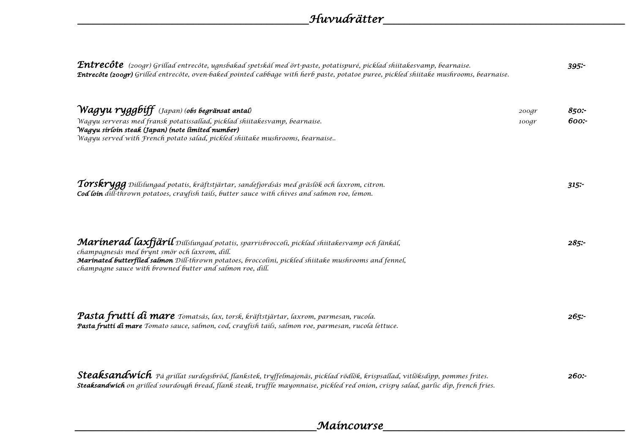| $\bm{Enter}$ (200gr) Grillad entrecôte, ugnsbakad spetskål med ört-paste, potatispuré, picklad shiitakesvamp, bearnaise.<br><b>Entrecôte (200gr)</b> Grilled entrecôte, oven-baked pointed cabbage with herb paste, potatoe puree, pickled shiitake mushrooms, bearnaise.                                          |                             | 395:-         |
|--------------------------------------------------------------------------------------------------------------------------------------------------------------------------------------------------------------------------------------------------------------------------------------------------------------------|-----------------------------|---------------|
| $\mathcal W$ ag $\mathsf{yu}$ $\mathsf{rygg}$ bíff $\,$ (Japan) (obs begränsat antal)<br>Wagyu serveras med fransk potatissallad, picklad shiitakesvamp, bearnaise.<br>Wagyu sírloín steak (Japan) (note limíted number)<br>Wagyu served with French potato salad, pickled shiitake mushrooms, bearnaise           | $200 \text{gr}$<br>$100$ gr | 850:<br>600:- |
| Torskrygg $p$ íllslungad potatís, kräftstjärtar, sandefjordsås med gräslök och laxrom, citron.<br>Cod loin dill-thrown potatoes, crayfish tails, butter sauce with chives and salmon roe, lemon.                                                                                                                   |                             | $315$ :       |
| Marínerad laxfjäríl Dillslungad potatis, sparrisbroccoli, picklad shiitakesvamp och fänkål,<br>champagnesås med brynt smör och laxrom, dill.<br>Marinated butterflied salmon Dill-thrown potatoes, broccolini, pickled shiitake mushrooms and fennel,<br>champagne sauce with browned butter and salmon roe, dill. |                             | 285:          |
| Pasta fruttí dí mare Tomatsås, lax, torsk, kräftstjärtar, laxrom, parmesan, rucola.<br>Pasta fruttí di mare Tomato sauce, salmon, cod, crayfish tails, salmon roe, parmesan, rucola lettuce.                                                                                                                       |                             | $265$ :       |
| $\emph{Steaks}$ a $\emph{m4}$ v $\emph{ic}$ h $\emph{p}$ å grillat surdegsbröd, flankstek, tryffelmajonäs, picklad rödlök, krispsallad, vitlöksdipp, pommes frites.<br>Steaksandwich on grilled sourdough bread, flank steak, truffle mayonnaise, pickled red onion, crispy salad, garlic dip, french fries.       |                             | 260:-         |

# \_\_\_\_\_\_\_\_\_\_\_\_\_\_\_\_\_\_\_\_\_\_\_\_\_\_\_\_\_\_\_\_\_\_\_\_\_\_\_\_\_\_\_\_\_\_*Maincourse*\_\_\_\_\_\_\_\_\_\_\_\_\_\_\_\_\_\_\_\_\_\_\_\_\_\_\_\_\_\_\_\_\_\_\_\_\_\_\_\_\_\_\_\_\_\_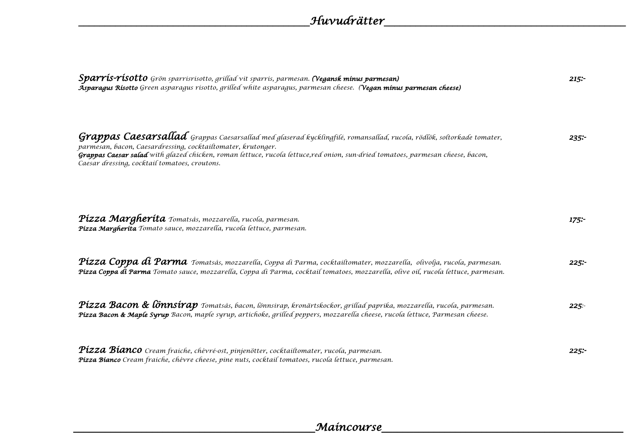| $Sparr$ ís- $r$ ís $otto$ Grön sparrisrisotto, grillad vit sparris, parmesan. (Vegansk minus parmesan)<br>Asparagus Risotto Green asparagus risotto, grilled white asparagus, parmesan cheese. (Vegan minus parmesan cheese)                                                                                                                                             | 215:    |
|--------------------------------------------------------------------------------------------------------------------------------------------------------------------------------------------------------------------------------------------------------------------------------------------------------------------------------------------------------------------------|---------|
| Grappas Caesarsallad Grappas Caesarsallad med glaserad kycklingfilé, romansallad, rucola, rödlök, soltorkade tomater,<br>parmesan, bacon, Caesardressing, cocktailtomater, krutonger.<br>Grappas Caesar salad with glazed chicken, roman lettuce, rucola lettuce,red onion, sun-dried tomatoes, parmesan cheese, bacon,<br>Caesar dressing, cocktail tomatoes, croutons. | $235 -$ |
| Pízza Margheríta Tomatsàs, mozzarella, rucola, parmesan.<br>Pízza Margheríta Tomato sauce, mozzarella, rucola lettuce, parmesan.                                                                                                                                                                                                                                         | $175 -$ |
| Pízza Coppa dí Parma Tomatsås, mozzarella, Coppa di Parma, cocktailtomater, mozzarella, olivolja, rucola, parmesan.<br>Pízza Coppa di Parma Tomato sauce, mozzarella, Coppa di Parma, cocktail tomatoes, mozzarella, olive oil, rucola lettuce, parmesan.                                                                                                                | $225$ : |
| Pízza Bacon & lönnsírap Tomatsås, bacon, lönnsirap, kronärtskockor, grillad paprika, mozzarella, rucola, parmesan.<br>Pízza Bacon & Maple Syrup Bacon, maple syrup, artichoke, grilled peppers, mozzarella cheese, rucola lettuce, Parmesan cheese.                                                                                                                      | 225     |
| Pízza Bíanco Cream fraíche, chèvré-ost, pinjenötter, cocktailtomater, rucola, parmesan.<br>Pízza Bíanco Cream fraíche, chèvre cheese, pine nuts, cocktail tomatoes, rucola lettuce, parmesan.                                                                                                                                                                            | 225:    |